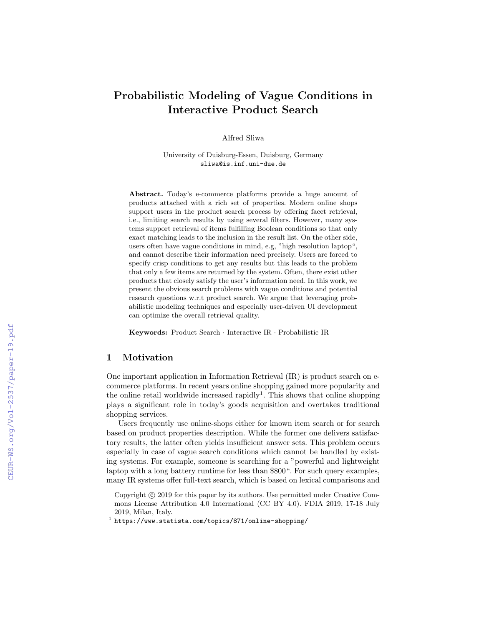# Probabilistic Modeling of Vague Conditions in Interactive Product Search

Alfred Sliwa

University of Duisburg-Essen, Duisburg, Germany sliwa@is.inf.uni-due.de

Abstract. Today's e-commerce platforms provide a huge amount of products attached with a rich set of properties. Modern online shops support users in the product search process by offering facet retrieval, i.e., limiting search results by using several filters. However, many systems support retrieval of items fulfilling Boolean conditions so that only exact matching leads to the inclusion in the result list. On the other side, users often have vague conditions in mind, e.g, "high resolution laptop", and cannot describe their information need precisely. Users are forced to specify crisp conditions to get any results but this leads to the problem that only a few items are returned by the system. Often, there exist other products that closely satisfy the user's information need. In this work, we present the obvious search problems with vague conditions and potential research questions w.r.t product search. We argue that leveraging probabilistic modeling techniques and especially user-driven UI development can optimize the overall retrieval quality.

Keywords: Product Search · Interactive IR · Probabilistic IR

## 1 Motivation

One important application in Information Retrieval (IR) is product search on ecommerce platforms. In recent years online shopping gained more popularity and the online retail worldwide increased rapidly<sup>1</sup>. This shows that online shopping plays a significant role in today's goods acquisition and overtakes traditional shopping services.

Users frequently use online-shops either for known item search or for search based on product properties description. While the former one delivers satisfactory results, the latter often yields insufficient answer sets. This problem occurs especially in case of vague search conditions which cannot be handled by existing systems. For example, someone is searching for a "powerful and lightweight laptop with a long battery runtime for less than \$800". For such query examples, many IR systems offer full-text search, which is based on lexical comparisons and

Copyright  $\odot$  2019 for this paper by its authors. Use permitted under Creative Commons License Attribution 4.0 International (CC BY 4.0). FDIA 2019, 17-18 July 2019, Milan, Italy.

<sup>1</sup> https://www.statista.com/topics/871/online-shopping/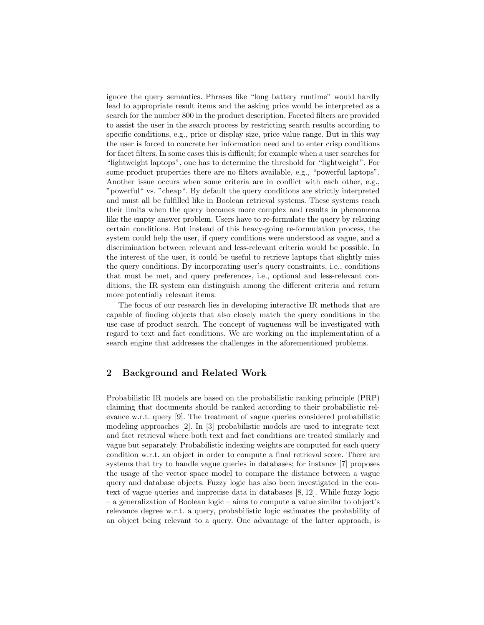ignore the query semantics. Phrases like "long battery runtime" would hardly lead to appropriate result items and the asking price would be interpreted as a search for the number 800 in the product description. Faceted filters are provided to assist the user in the search process by restricting search results according to specific conditions, e.g., price or display size, price value range. But in this way the user is forced to concrete her information need and to enter crisp conditions for facet filters. In some cases this is difficult; for example when a user searches for "lightweight laptops", one has to determine the threshold for "lightweight". For some product properties there are no filters available, e.g., "powerful laptops". Another issue occurs when some criteria are in conflict with each other, e.g., "powerful" vs. "cheap". By default the query conditions are strictly interpreted and must all be fulfilled like in Boolean retrieval systems. These systems reach their limits when the query becomes more complex and results in phenomena like the empty answer problem. Users have to re-formulate the query by relaxing certain conditions. But instead of this heavy-going re-formulation process, the system could help the user, if query conditions were understood as vague, and a discrimination between relevant and less-relevant criteria would be possible. In the interest of the user, it could be useful to retrieve laptops that slightly miss the query conditions. By incorporating user's query constraints, i.e., conditions that must be met, and query preferences, i.e., optional and less-relevant conditions, the IR system can distinguish among the different criteria and return more potentially relevant items.

The focus of our research lies in developing interactive IR methods that are capable of finding objects that also closely match the query conditions in the use case of product search. The concept of vagueness will be investigated with regard to text and fact conditions. We are working on the implementation of a search engine that addresses the challenges in the aforementioned problems.

## 2 Background and Related Work

Probabilistic IR models are based on the probabilistic ranking principle (PRP) claiming that documents should be ranked according to their probabilistic relevance w.r.t. query [9]. The treatment of vague queries considered probabilistic modeling approaches [2]. In [3] probabilistic models are used to integrate text and fact retrieval where both text and fact conditions are treated similarly and vague but separately. Probabilistic indexing weights are computed for each query condition w.r.t. an object in order to compute a final retrieval score. There are systems that try to handle vague queries in databases; for instance [7] proposes the usage of the vector space model to compare the distance between a vague query and database objects. Fuzzy logic has also been investigated in the context of vague queries and imprecise data in databases [8, 12]. While fuzzy logic – a generalization of Boolean logic – aims to compute a value similar to object's relevance degree w.r.t. a query, probabilistic logic estimates the probability of an object being relevant to a query. One advantage of the latter approach, is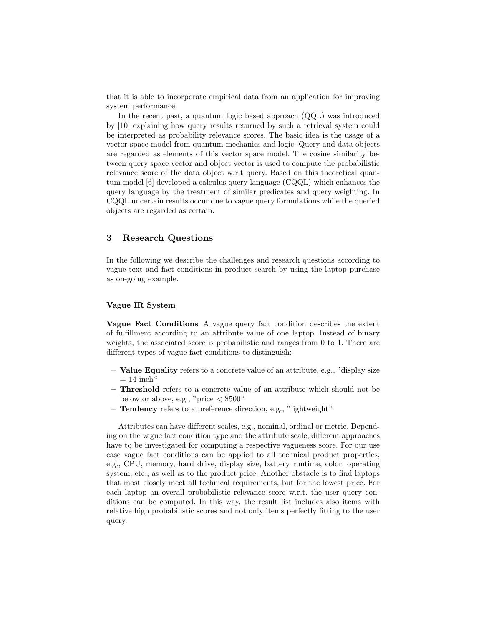that it is able to incorporate empirical data from an application for improving system performance.

In the recent past, a quantum logic based approach (QQL) was introduced by [10] explaining how query results returned by such a retrieval system could be interpreted as probability relevance scores. The basic idea is the usage of a vector space model from quantum mechanics and logic. Query and data objects are regarded as elements of this vector space model. The cosine similarity between query space vector and object vector is used to compute the probabilistic relevance score of the data object w.r.t query. Based on this theoretical quantum model [6] developed a calculus query language (CQQL) which enhances the query language by the treatment of similar predicates and query weighting. In CQQL uncertain results occur due to vague query formulations while the queried objects are regarded as certain.

## 3 Research Questions

In the following we describe the challenges and research questions according to vague text and fact conditions in product search by using the laptop purchase as on-going example.

#### Vague IR System

Vague Fact Conditions A vague query fact condition describes the extent of fulfillment according to an attribute value of one laptop. Instead of binary weights, the associated score is probabilistic and ranges from 0 to 1. There are different types of vague fact conditions to distinguish:

- Value Equality refers to a concrete value of an attribute, e.g., "display size  $= 14$  inch<sup>"</sup>
- Threshold refers to a concrete value of an attribute which should not be below or above, e.g., "price  $<$  \$500"
- Tendency refers to a preference direction, e.g., "lightweight"

Attributes can have different scales, e.g., nominal, ordinal or metric. Depending on the vague fact condition type and the attribute scale, different approaches have to be investigated for computing a respective vagueness score. For our use case vague fact conditions can be applied to all technical product properties, e.g., CPU, memory, hard drive, display size, battery runtime, color, operating system, etc., as well as to the product price. Another obstacle is to find laptops that most closely meet all technical requirements, but for the lowest price. For each laptop an overall probabilistic relevance score w.r.t. the user query conditions can be computed. In this way, the result list includes also items with relative high probabilistic scores and not only items perfectly fitting to the user query.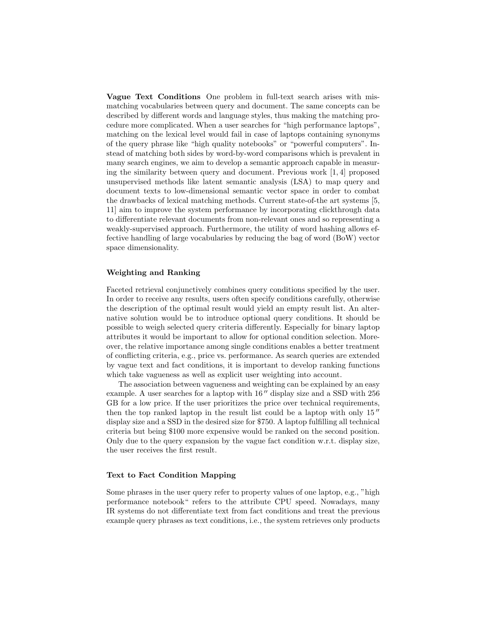Vague Text Conditions One problem in full-text search arises with mismatching vocabularies between query and document. The same concepts can be described by different words and language styles, thus making the matching procedure more complicated. When a user searches for "high performance laptops", matching on the lexical level would fail in case of laptops containing synonyms of the query phrase like "high quality notebooks" or "powerful computers". Instead of matching both sides by word-by-word comparisons which is prevalent in many search engines, we aim to develop a semantic approach capable in measuring the similarity between query and document. Previous work [1, 4] proposed unsupervised methods like latent semantic analysis (LSA) to map query and document texts to low-dimensional semantic vector space in order to combat the drawbacks of lexical matching methods. Current state-of-the art systems [5, 11] aim to improve the system performance by incorporating clickthrough data to differentiate relevant documents from non-relevant ones and so representing a weakly-supervised approach. Furthermore, the utility of word hashing allows effective handling of large vocabularies by reducing the bag of word (BoW) vector space dimensionality.

#### Weighting and Ranking

Faceted retrieval conjunctively combines query conditions specified by the user. In order to receive any results, users often specify conditions carefully, otherwise the description of the optimal result would yield an empty result list. An alternative solution would be to introduce optional query conditions. It should be possible to weigh selected query criteria differently. Especially for binary laptop attributes it would be important to allow for optional condition selection. Moreover, the relative importance among single conditions enables a better treatment of conflicting criteria, e.g., price vs. performance. As search queries are extended by vague text and fact conditions, it is important to develop ranking functions which take vagueness as well as explicit user weighting into account.

The association between vagueness and weighting can be explained by an easy example. A user searches for a laptop with  $16''$  display size and a SSD with 256 GB for a low price. If the user prioritizes the price over technical requirements, then the top ranked laptop in the result list could be a laptop with only  $15$ " display size and a SSD in the desired size for \$750. A laptop fulfilling all technical criteria but being \$100 more expensive would be ranked on the second position. Only due to the query expansion by the vague fact condition w.r.t. display size, the user receives the first result.

### Text to Fact Condition Mapping

Some phrases in the user query refer to property values of one laptop, e.g., "high performance notebook" refers to the attribute CPU speed. Nowadays, many IR systems do not differentiate text from fact conditions and treat the previous example query phrases as text conditions, i.e., the system retrieves only products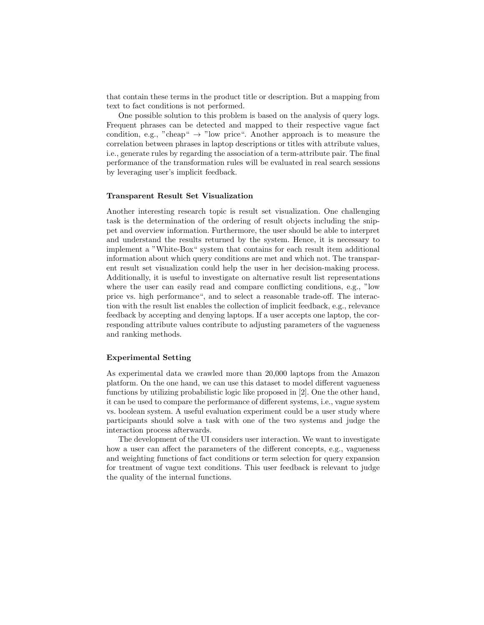that contain these terms in the product title or description. But a mapping from text to fact conditions is not performed.

One possible solution to this problem is based on the analysis of query logs. Frequent phrases can be detected and mapped to their respective vague fact condition, e.g., "cheap"  $\rightarrow$  "low price". Another approach is to measure the correlation between phrases in laptop descriptions or titles with attribute values, i.e., generate rules by regarding the association of a term-attribute pair. The final performance of the transformation rules will be evaluated in real search sessions by leveraging user's implicit feedback.

#### Transparent Result Set Visualization

Another interesting research topic is result set visualization. One challenging task is the determination of the ordering of result objects including the snippet and overview information. Furthermore, the user should be able to interpret and understand the results returned by the system. Hence, it is necessary to implement a "White-Box" system that contains for each result item additional information about which query conditions are met and which not. The transparent result set visualization could help the user in her decision-making process. Additionally, it is useful to investigate on alternative result list representations where the user can easily read and compare conflicting conditions, e.g., "low price vs. high performance", and to select a reasonable trade-off. The interaction with the result list enables the collection of implicit feedback, e.g., relevance feedback by accepting and denying laptops. If a user accepts one laptop, the corresponding attribute values contribute to adjusting parameters of the vagueness and ranking methods.

#### Experimental Setting

As experimental data we crawled more than 20,000 laptops from the Amazon platform. On the one hand, we can use this dataset to model different vagueness functions by utilizing probabilistic logic like proposed in [2]. One the other hand, it can be used to compare the performance of different systems, i.e., vague system vs. boolean system. A useful evaluation experiment could be a user study where participants should solve a task with one of the two systems and judge the interaction process afterwards.

The development of the UI considers user interaction. We want to investigate how a user can affect the parameters of the different concepts, e.g., vagueness and weighting functions of fact conditions or term selection for query expansion for treatment of vague text conditions. This user feedback is relevant to judge the quality of the internal functions.